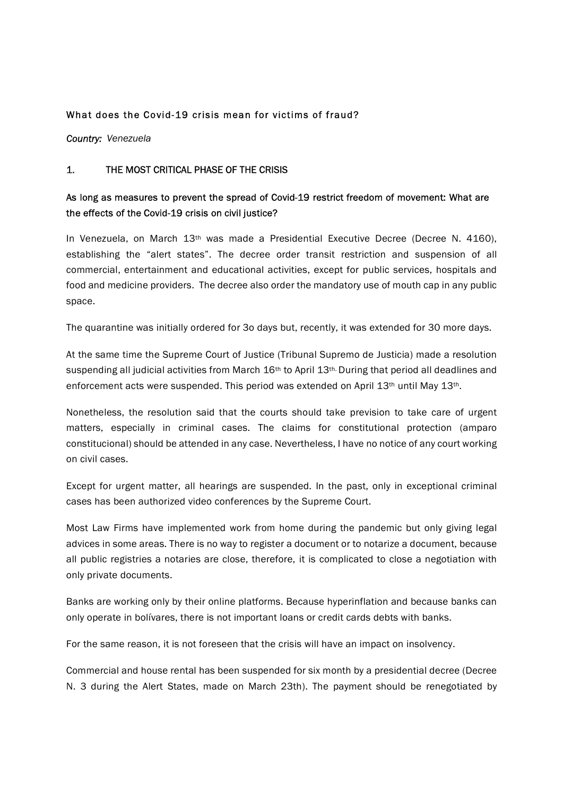#### What does the Covid-19 crisis mean for victims of fraud?

Country: Venezuela

#### 1. THE MOST CRITICAL PHASE OF THE CRISIS

## As long as measures to prevent the spread of Covid-19 restrict freedom of movement: What are the effects of the Covid-19 crisis on civil justice?

In Venezuela, on March 13<sup>th</sup> was made a Presidential Executive Decree (Decree N. 4160), establishing the "alert states". The decree order transit restriction and suspension of all commercial, entertainment and educational activities, except for public services, hospitals and food and medicine providers. The decree also order the mandatory use of mouth cap in any public space.

The quarantine was initially ordered for 3o days but, recently, it was extended for 30 more days.

At the same time the Supreme Court of Justice (Tribunal Supremo de Justicia) made a resolution suspending all judicial activities from March 16<sup>th</sup> to April 13<sup>th.</sup> During that period all deadlines and enforcement acts were suspended. This period was extended on April 13<sup>th</sup> until May 13<sup>th</sup>.

Nonetheless, the resolution said that the courts should take prevision to take care of urgent matters, especially in criminal cases. The claims for constitutional protection (amparo constitucional) should be attended in any case. Nevertheless, I have no notice of any court working on civil cases.

Except for urgent matter, all hearings are suspended. In the past, only in exceptional criminal cases has been authorized video conferences by the Supreme Court.

Most Law Firms have implemented work from home during the pandemic but only giving legal advices in some areas. There is no way to register a document or to notarize a document, because all public registries a notaries are close, therefore, it is complicated to close a negotiation with only private documents.

Banks are working only by their online platforms. Because hyperinflation and because banks can only operate in bolívares, there is not important loans or credit cards debts with banks.

For the same reason, it is not foreseen that the crisis will have an impact on insolvency.

Commercial and house rental has been suspended for six month by a presidential decree (Decree N. 3 during the Alert States, made on March 23th). The payment should be renegotiated by